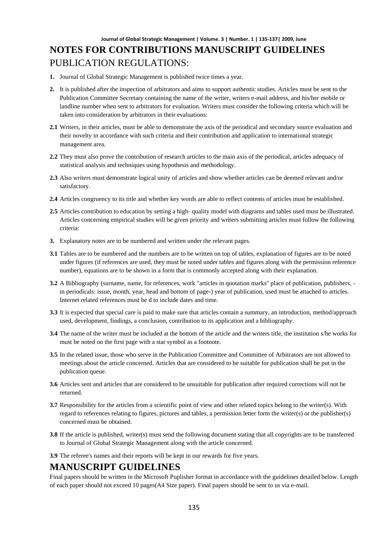## **Journal of Global Strategic Management | Volume. 3 | Number. 1 | 135-137| 2009, June NOTES FOR CONTRIBUTIONS MANUSCRIPT GUIDELINES**  PUBLICATION REGULATIONS:

- **1.** Journal of Global Strategic Management is published twice times a year.
- **2.** It is published after the inspection of arbitrators and aims to support authentic studies. Articles must be sent to the Publication Committee Secretary containing the name of the writer, writers e-mail address, and his/her mobile or landline number when sent to arbitrators for evaluation. Writers must consider the following criteria which will be taken into consideration by arbitrators in their evaluations:
- **2.1** Writers, in their articles, must be able to demonstrate the axis of the periodical and secondary source evaluation and their novelty in accordance with such criteria and their contribution and application to international strategic management area.
- **2.2** They must also prove the contribution of research articles to the main axis of the periodical, articles adequacy of statistical analysis and techniques using hypothesis and methodology.
- **2.3** Also writers must demonstrate logical unity of articles and show whether articles can be deemed relevant and/or satisfactory.
- **2.4** Articles congruency to its title and whether key words are able to reflect contents of articles must be established.
- **2.5** Articles contribution to education by setting a high- quality model with diagrams and tables used must be illustrated. Articles concerning empirical studies will be given priority and writers submitting articles must follow the following criteria:
- **3.** Explanatory notes are to be numbered and written under the relevant pages.
- **3.1** Tables are to be numbered and the numbers are to be written on top of tables, explanation of figures are to be noted under figures (if references are used, they must be noted under tables and figures along with the permission reference number), equations are to be shown in a form that is commonly accepted along with their explanation.
- **3.2** A Bibliography (surname, name, for references, work "articles in quotation marks" place of publication, publishers, in periodicals: issue, month, year, head and bottom of page-) year of publication, used must be attached to articles. Internet related references must be d to include dates and time.
- **3.3** It is expected that special care is paid to make sure that articles contain a summary, an introduction, method/approach used, development, findings, a conclusion, contribution to its application and a bibliography.
- **3.4** The name of the writer must be included at the bottom of the article and the writers title, the institution s/he works for must be noted on the first page with a star symbol as a footnote.
- **3.5** In the related issue, those who serve in the Publication Committee and Committee of Arbitrators are not allowed to meetings about the article concerned. Articles that are considered to be suitable for publication shall be put in the publication queue.
- **3.6** Articles sent and articles that are considered to be unsuitable for publication after required corrections will not be returned.
- **3.7** Responsibility for the articles from a scientific point of view and other related topics belong to the writer(s). With regard to references relating to figures, pictures and tables, a permission letter form the writer(s) or the publisher(s) concerned must be obtained.
- **3.8** If the article is published, writer(s) must send the following document stating that all copyrights are to be transferred to Journal of Global Strategic Management along with the article concerned.
- **3.9** The referee's names and their reports will be kept in our rewards for five years.

#### **MANUSCRIPT GUIDELINES**

Final papers should be written in the Microsoft Puplisher format in accordance with the guidelines detailed below. Length of each paper should not exceed 10 pages(A4 Size paper). Final papers should be sent to us via e-mail.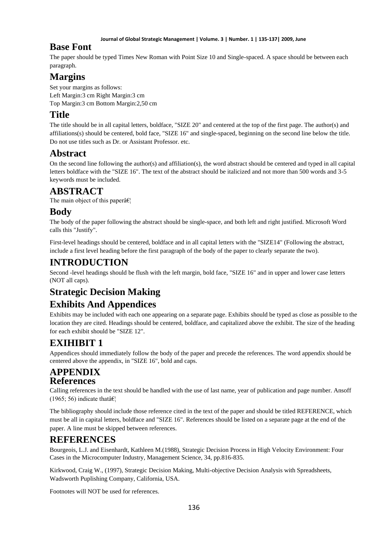#### **Journal of Global Strategic Management | Volume. 3 | Number. 1 | 135-137| 2009, June**

## **Base Font**

The paper should be typed Times New Roman with Point Size 10 and Single-spaced. A space should be between each paragraph.

## **Margins**

Set your margins as follows: Left Margin:3 cm Right Margin:3 cm Top Margin:3 cm Bottom Margin:2,50 cm

### **Title**

The title should be in all capital letters, boldface, "SIZE 20" and centered at the top of the first page. The author(s) and affiliations(s) should be centered, bold face, "SIZE 16" and single-spaced, beginning on the second line below the title. Do not use titles such as Dr. or Assistant Professor. etc.

## **Abstract**

On the second line following the author(s) and affiliation(s), the word abstract should be centered and typed in all capital letters boldface with the "SIZE 16". The text of the abstract should be italicized and not more than 500 words and 3-5 keywords must be included.

### **ABSTRACT**

The main object of this paper $\hat{a}\hat{\epsilon}$ 

## **Body**

The body of the paper following the abstract should be single-space, and both left and right justified. Microsoft Word calls this "Justify".

First-level headings should be centered, boldface and in all capital letters with the "SIZE14" (Following the abstract, include a first level heading before the first paragraph of the body of the paper to clearly separate the two).

# **INTRODUCTION**

Second -level headings should be flush with the left margin, bold face, "SIZE 16" and in upper and lower case letters (NOT all caps).

# **Strategic Decision Making**

## **Exhibits And Appendices**

Exhibits may be included with each one appearing on a separate page. Exhibits should be typed as close as possible to the location they are cited. Headings should be centered, boldface, and capitalized above the exhibit. The size of the heading for each exhibit should be "SIZE 12".

# **EXIHIBIT 1**

Appendices should immediately follow the body of the paper and precede the references. The word appendix should be centered above the appendix, in "SIZE 16", bold and caps.

#### **APPENDIX References**

Calling references in the text should be handled with the use of last name, year of publication and page number. Ansoff  $(1965; 56)$  indicate that  $\hat{\mathbf{a}}$ 

The bibliography should include those reference cited in the text of the paper and should be titled REFERENCE, which must be all in capital letters, boldface and "SIZE 16". References should be listed on a separate page at the end of the paper. A line must be skipped between references.

## **REFERENCES**

Bourgeois, L.J. and Eisenhardt, Kathleen M.(1988), Strategic Decision Process in High Velocity Environment: Four Cases in the Microcomputer Industry, Management Science, 34, pp.816-835.

Kirkwood, Craig W., (1997), Strategic Decision Making, Multi-objective Decision Analysis with Spreadsheets, Wadsworth Puplishing Company, California, USA.

Footnotes will NOT be used for references.